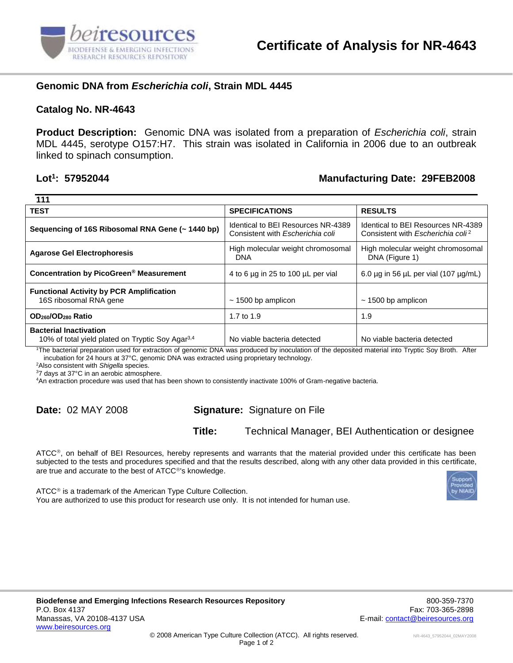

## **Genomic DNA from** *Escherichia coli***, Strain MDL 4445**

#### **Catalog No. NR-4643**

**Product Description:** Genomic DNA was isolated from a preparation of *Escherichia coli*, strain MDL 4445, serotype O157:H7. This strain was isolated in California in 2006 due to an outbreak linked to spinach consumption.

#### Lot<sup>1</sup>: 57952044

### **: 57952044 Manufacturing Date: 29FEB2008**

| 111                                                                                           |                                                                        |                                                                                           |
|-----------------------------------------------------------------------------------------------|------------------------------------------------------------------------|-------------------------------------------------------------------------------------------|
| <b>TEST</b>                                                                                   | <b>SPECIFICATIONS</b>                                                  | <b>RESULTS</b>                                                                            |
| Sequencing of 16S Ribosomal RNA Gene (~ 1440 bp)                                              | Identical to BEI Resources NR-4389<br>Consistent with Escherichia coli | Identical to BEI Resources NR-4389<br>Consistent with <i>Escherichia coli<sup>2</sup></i> |
| <b>Agarose Gel Electrophoresis</b>                                                            | High molecular weight chromosomal<br><b>DNA</b>                        | High molecular weight chromosomal<br>DNA (Figure 1)                                       |
| Concentration by PicoGreen <sup>®</sup> Measurement                                           | 4 to 6 µg in 25 to 100 µL per vial                                     | 6.0 $\mu$ g in 56 $\mu$ L per vial (107 $\mu$ g/mL)                                       |
| <b>Functional Activity by PCR Amplification</b><br>16S ribosomal RNA gene                     | $\sim$ 1500 bp amplicon                                                | $\sim$ 1500 bp amplicon                                                                   |
| OD <sub>260</sub> /OD <sub>280</sub> Ratio                                                    | 1.7 to 1.9                                                             | 1.9                                                                                       |
| <b>Bacterial Inactivation</b><br>10% of total yield plated on Tryptic Soy Agar <sup>3,4</sup> | No viable bacteria detected                                            | No viable bacteria detected                                                               |

<sup>1</sup>The bacterial preparation used for extraction of genomic DNA was produced by inoculation of the deposited material into Tryptic Soy Broth. After incubation for 24 hours at 37°C, genomic DNA was extracted using proprietary technology.

<sup>2</sup>Also consistent with *Shigella* species.

<sup>3</sup>7 days at 37°C in an aerobic atmosphere.

<sup>4</sup>An extraction procedure was used that has been shown to consistently inactivate 100% of Gram-negative bacteria.

# **Date:** 02 MAY 2008 **Signature:** Signature on File

**Title:** Technical Manager, BEI Authentication or designee

 $\tt ATCC<sup>®</sup>$ , on behalf of BEI Resources, hereby represents and warrants that the material provided under this certificate has been subjected to the tests and procedures specified and that the results described, along with any other data provided in this certificate, are true and accurate to the best of ATCC®'s knowledge.



ATCC<sup>®</sup> is a trademark of the American Type Culture Collection. You are authorized to use this product for research use only. It is not intended for human use.